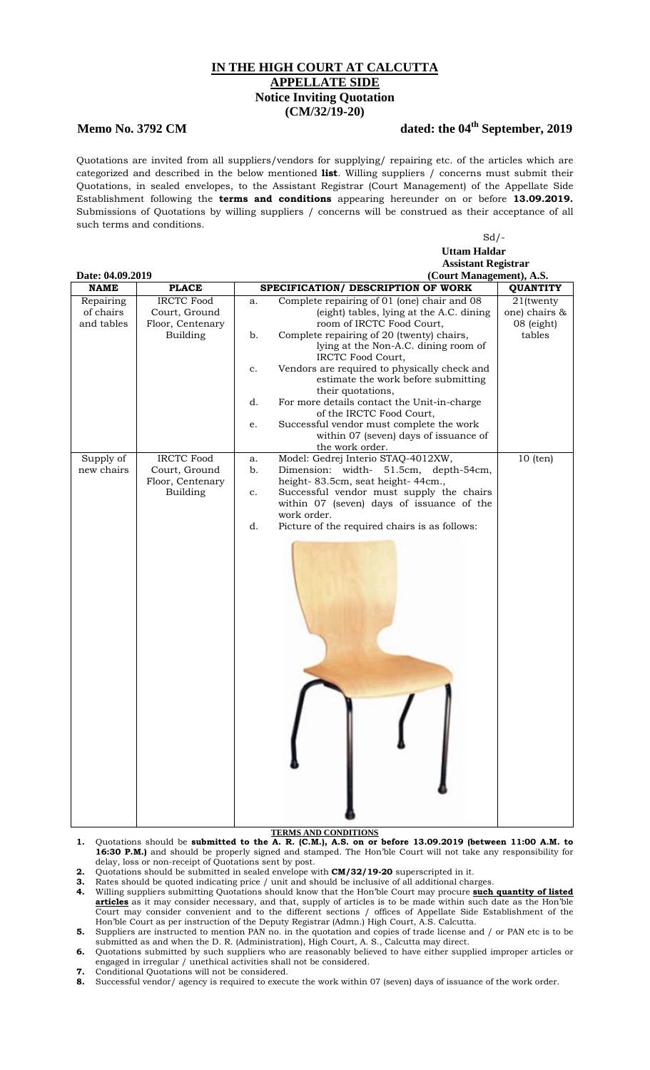## **IN THE HIGH COURT AT CALCUTTA APPELLATE SIDE Notice Inviting Quotation (CM/32/19-20)**

## **Memo No. 3792 CM** dated: the 04<sup>th</sup> September, 2019

Quotations are invited from all suppliers/vendors for supplying/ repairing etc. of the articles which are categorized and described in the below mentioned **list**. Willing suppliers / concerns must submit their Quotations, in sealed envelopes, to the Assistant Registrar (Court Management) of the Appellate Side Establishment following the **terms and conditions** appearing hereunder on or before **13.09.2019.** Submissions of Quotations by willing suppliers / concerns will be construed as their acceptance of all such terms and conditions.

|                                              |                   | $Sd$ /-                                                  |                            |  |
|----------------------------------------------|-------------------|----------------------------------------------------------|----------------------------|--|
|                                              |                   | <b>Uttam Haldar</b>                                      |                            |  |
|                                              |                   |                                                          | <b>Assistant Registrar</b> |  |
| (Court Management), A.S.<br>Date: 04.09.2019 |                   |                                                          |                            |  |
| <b>NAME</b>                                  | <b>PLACE</b>      | SPECIFICATION/ DESCRIPTION OF WORK                       | <b>QUANTITY</b>            |  |
| Repairing                                    | <b>IRCTC Food</b> | Complete repairing of 01 (one) chair and 08<br>a.        | 21(twenty                  |  |
| of chairs                                    | Court, Ground     | (eight) tables, lying at the A.C. dining                 | one) chairs &              |  |
| and tables                                   | Floor, Centenary  | room of IRCTC Food Court,                                | 08 (eight)                 |  |
|                                              | <b>Building</b>   | Complete repairing of 20 (twenty) chairs,<br>b.          | tables                     |  |
|                                              |                   | lying at the Non-A.C. dining room of                     |                            |  |
|                                              |                   | IRCTC Food Court,                                        |                            |  |
|                                              |                   | Vendors are required to physically check and<br>c.       |                            |  |
|                                              |                   | estimate the work before submitting                      |                            |  |
|                                              |                   | their quotations,                                        |                            |  |
|                                              |                   | For more details contact the Unit-in-charge<br>d.        |                            |  |
|                                              |                   | of the IRCTC Food Court,                                 |                            |  |
|                                              |                   | Successful vendor must complete the work<br>e.           |                            |  |
|                                              |                   | within 07 (seven) days of issuance of<br>the work order. |                            |  |
| Supply of                                    | <b>IRCTC Food</b> | Model: Gedrej Interio STAQ-4012XW,<br>a.                 | $10$ (ten)                 |  |
| new chairs                                   | Court, Ground     | Dimension: width- 51.5cm, depth-54cm,<br>b.              |                            |  |
|                                              | Floor, Centenary  | height-83.5cm, seat height-44cm.,                        |                            |  |
|                                              | <b>Building</b>   | Successful vendor must supply the chairs<br>c.           |                            |  |
|                                              |                   | within 07 (seven) days of issuance of the                |                            |  |
|                                              |                   | work order.                                              |                            |  |
|                                              |                   | d.<br>Picture of the required chairs is as follows:      |                            |  |
|                                              |                   |                                                          |                            |  |

## **TERMS AND CONDITIONS**

- **1.** Quotations should be **submitted to the A. R. (C.M.), A.S. on or before 13.09.2019 (between 11:00 A.M. to 16:30 P.M.)** and should be properly signed and stamped. The Hon'ble Court will not take any responsibility for delay, loss or non-receipt of Quotations sent by post.
- **2.** Quotations should be submitted in sealed envelope with **CM/32/19-20** superscripted in it.
- **3.** Rates should be quoted indicating price / unit and should be inclusive of all additional charges.
- **4.** Willing suppliers submitting Quotations should know that the Hon'ble Court may procure **such quantity of listed articles** as it may consider necessary, and that, supply of articles is to be made within such date as the Hon'ble Court may consider convenient and to the different sections / offices of Appellate Side Establishment of the Hon'ble Court as per instruction of the Deputy Registrar (Admn.) High Court, A.S. Calcutta.
- **5.** Suppliers are instructed to mention PAN no. in the quotation and copies of trade license and / or PAN etc is to be submitted as and when the D. R. (Administration), High Court, A. S., Calcutta may direct.
- **6.** Quotations submitted by such suppliers who are reasonably believed to have either supplied improper articles or engaged in irregular / unethical activities shall not be considered.
- **7.** Conditional Quotations will not be considered.
- **8.** Successful vendor/ agency is required to execute the work within 07 (seven) days of issuance of the work order.